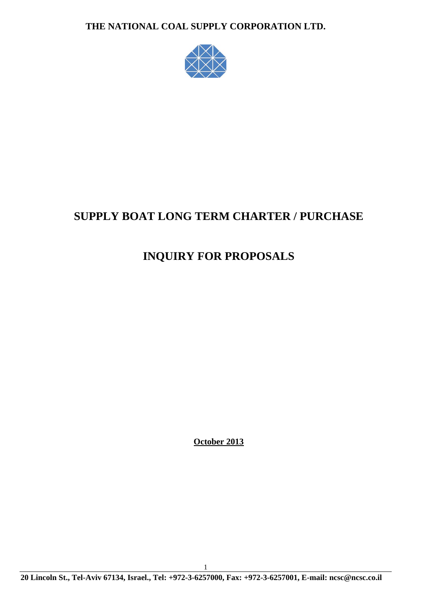

# **SUPPLY BOAT LONG TERM CHARTER / PURCHASE**

# **INQUIRY FOR PROPOSALS**

**October 2013**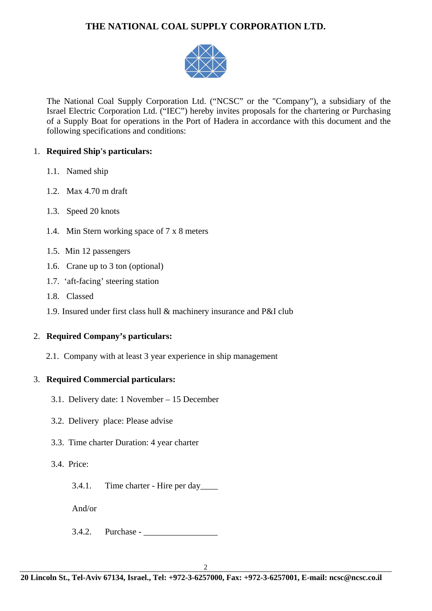

The National Coal Supply Corporation Ltd. ("NCSC" or the "Company"), a subsidiary of the Israel Electric Corporation Ltd. ("IEC") hereby invites proposals for the chartering or Purchasing of a Supply Boat for operations in the Port of Hadera in accordance with this document and the following specifications and conditions:

## 1. **Required Ship's particulars:**

- 1.1. Named ship
- 1.2. Max 4.70 m draft
- 1.3. Speed 20 knots
- 1.4. Min Stern working space of 7 x 8 meters
- 1.5. Min 12 passengers
- 1.6. Crane up to 3 ton (optional)
- 1.7. 'aft-facing' steering station
- 1.8. Classed
- 1.9. Insured under first class hull & machinery insurance and P&I club

## 2. **Required Company's particulars:**

2.1. Company with at least 3 year experience in ship management

## 3. **Required Commercial particulars:**

- 3.1. Delivery date: 1 November 15 December
- 3.2. Delivery place: Please advise
- 3.3. Time charter Duration: 4 year charter
- 3.4. Price:
	- 3.4.1. Time charter Hire per day\_\_\_\_

And/or

 $3.4.2.$  Purchase -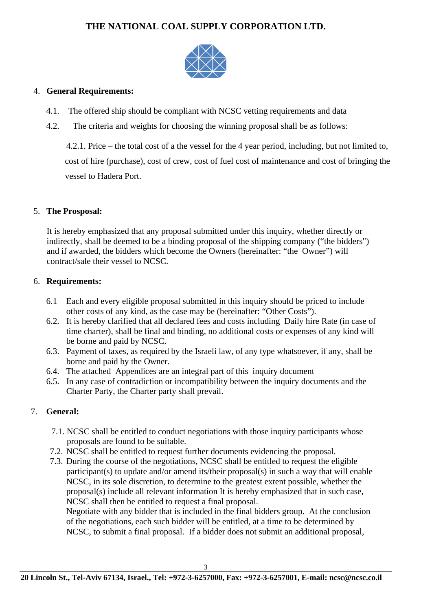

### 4. **General Requirements:**

- 4.1. The offered ship should be compliant with NCSC vetting requirements and data
- 4.2. The criteria and weights for choosing the winning proposal shall be as follows:

4.2.1. Price – the total cost of a the vessel for the 4 year period, including, but not limited to, cost of hire (purchase), cost of crew, cost of fuel cost of maintenance and cost of bringing the vessel to Hadera Port.

## 5. **The Prosposal:**

It is hereby emphasized that any proposal submitted under this inquiry, whether directly or indirectly, shall be deemed to be a binding proposal of the shipping company ("the bidders") and if awarded, the bidders which become the Owners (hereinafter: "the Owner") will contract/sale their vessel to NCSC.

### 6. **Requirements:**

- 6.1 Each and every eligible proposal submitted in this inquiry should be priced to include other costs of any kind, as the case may be (hereinafter: "Other Costs").
- 6.2. It is hereby clarified that all declared fees and costs including Daily hire Rate (in case of time charter), shall be final and binding, no additional costs or expenses of any kind will be borne and paid by NCSC.
- 6.3. Payment of taxes, as required by the Israeli law, of any type whatsoever, if any, shall be borne and paid by the Owner.
- 6.4. The attached Appendices are an integral part of this inquiry document
- 6.5. In any case of contradiction or incompatibility between the inquiry documents and the Charter Party, the Charter party shall prevail.

## 7. **General:**

- 7.1. NCSC shall be entitled to conduct negotiations with those inquiry participants whose proposals are found to be suitable.
- 7.2. NCSC shall be entitled to request further documents evidencing the proposal.
- 7.3. During the course of the negotiations, NCSC shall be entitled to request the eligible participant(s) to update and/or amend its/their proposal(s) in such a way that will enable NCSC, in its sole discretion, to determine to the greatest extent possible, whether the proposal(s) include all relevant information It is hereby emphasized that in such case, NCSC shall then be entitled to request a final proposal.

Negotiate with any bidder that is included in the final bidders group. At the conclusion of the negotiations, each such bidder will be entitled, at a time to be determined by NCSC, to submit a final proposal. If a bidder does not submit an additional proposal,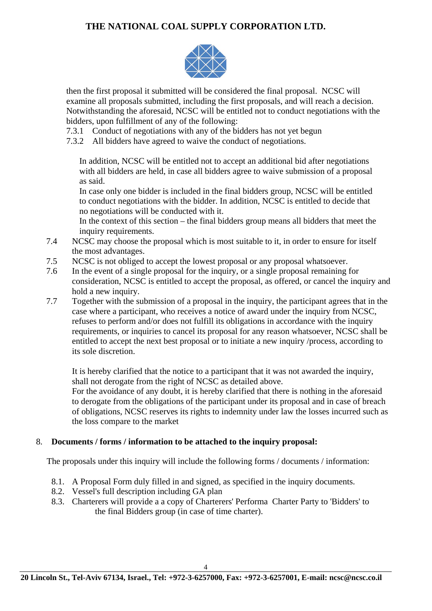

then the first proposal it submitted will be considered the final proposal. NCSC will examine all proposals submitted, including the first proposals, and will reach a decision. Notwithstanding the aforesaid, NCSC will be entitled not to conduct negotiations with the bidders, upon fulfillment of any of the following:

7.3.1 Conduct of negotiations with any of the bidders has not yet begun

7.3.2 All bidders have agreed to waive the conduct of negotiations.

In addition, NCSC will be entitled not to accept an additional bid after negotiations with all bidders are held, in case all bidders agree to waive submission of a proposal as said.

In case only one bidder is included in the final bidders group, NCSC will be entitled to conduct negotiations with the bidder. In addition, NCSC is entitled to decide that no negotiations will be conducted with it.

In the context of this section – the final bidders group means all bidders that meet the inquiry requirements.

- 7.4 NCSC may choose the proposal which is most suitable to it, in order to ensure for itself the most advantages.
- 7.5 NCSC is not obliged to accept the lowest proposal or any proposal whatsoever.
- 7.6 In the event of a single proposal for the inquiry, or a single proposal remaining for consideration, NCSC is entitled to accept the proposal, as offered, or cancel the inquiry and hold a new inquiry.
- 7.7 Together with the submission of a proposal in the inquiry, the participant agrees that in the case where a participant, who receives a notice of award under the inquiry from NCSC, refuses to perform and/or does not fulfill its obligations in accordance with the inquiry requirements, or inquiries to cancel its proposal for any reason whatsoever, NCSC shall be entitled to accept the next best proposal or to initiate a new inquiry /process, according to its sole discretion.

It is hereby clarified that the notice to a participant that it was not awarded the inquiry, shall not derogate from the right of NCSC as detailed above.

For the avoidance of any doubt, it is hereby clarified that there is nothing in the aforesaid to derogate from the obligations of the participant under its proposal and in case of breach of obligations, NCSC reserves its rights to indemnity under law the losses incurred such as the loss compare to the market

## 8. **Documents / forms / information to be attached to the inquiry proposal:**

The proposals under this inquiry will include the following forms / documents / information:

- 8.1. A Proposal Form duly filled in and signed, as specified in the inquiry documents.
- 8.2. Vessel's full description including GA plan
- 8.3. Charterers will provide a a copy of Charterers' Performa Charter Party to 'Bidders' to the final Bidders group (in case of time charter).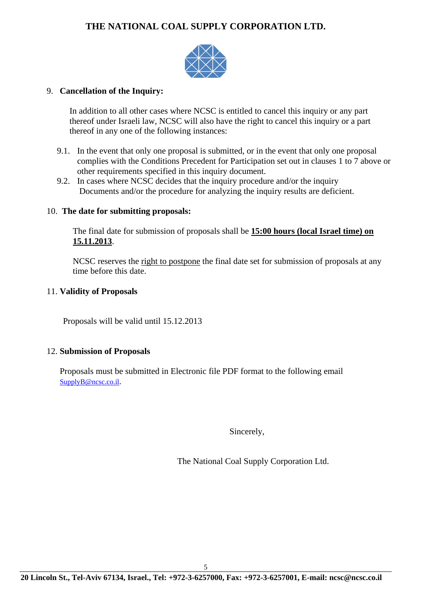

### 9. **Cancellation of the Inquiry:**

In addition to all other cases where NCSC is entitled to cancel this inquiry or any part thereof under Israeli law, NCSC will also have the right to cancel this inquiry or a part thereof in any one of the following instances:

- 9.1. In the event that only one proposal is submitted, or in the event that only one proposal complies with the Conditions Precedent for Participation set out in clauses 1 to 7 above or other requirements specified in this inquiry document.
- 9.2. In cases where NCSC decides that the inquiry procedure and/or the inquiry Documents and/or the procedure for analyzing the inquiry results are deficient.

### 10. **The date for submitting proposals:**

The final date for submission of proposals shall be **15:00 hours (local Israel time) on 15.11.2013**.

NCSC reserves the right to postpone the final date set for submission of proposals at any time before this date.

### 11. **Validity of Proposals**

Proposals will be valid until 15.12.2013

### 12. **Submission of Proposals**

Proposals must be submitted in Electronic file PDF format to the following email SupplyB@ncsc.co.il.

Sincerely,

The National Coal Supply Corporation Ltd.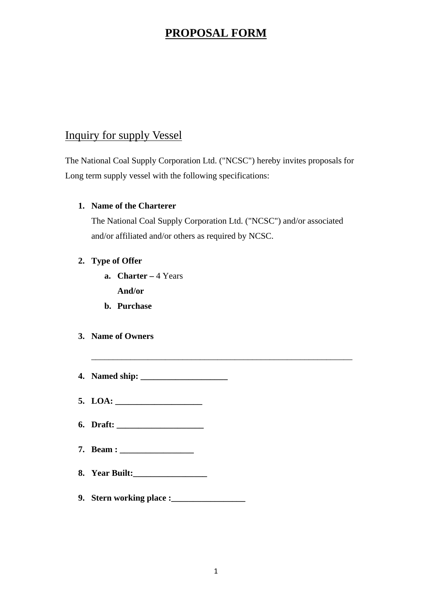## **PROPOSAL FORM**

## Inquiry for supply Vessel

The National Coal Supply Corporation Ltd. ("NCSC") hereby invites proposals for Long term supply vessel with the following specifications:

## **1. Name of the Charterer**

The National Coal Supply Corporation Ltd. ("NCSC") and/or associated and/or affiliated and/or others as required by NCSC.

\_\_\_\_\_\_\_\_\_\_\_\_\_\_\_\_\_\_\_\_\_\_\_\_\_\_\_\_\_\_\_\_\_\_\_\_\_\_\_\_\_\_\_\_\_\_\_\_\_\_\_\_\_\_\_\_\_\_\_\_

## **2. Type of Offer**

- **a. Charter** 4 Years **And/or**
- **b. Purchase**
- **3. Name of Owners**
- **4. Named ship: \_\_\_\_\_\_\_\_\_\_\_\_\_\_\_\_\_\_\_\_**
- **5. LOA: \_\_\_\_\_\_\_\_\_\_\_\_\_\_\_\_\_\_\_\_**
- **6. Draft: \_\_\_\_\_\_\_\_\_\_\_\_\_\_\_\_\_\_\_\_**
- **7. Beam : \_\_\_\_\_\_\_\_\_\_\_\_\_\_\_\_\_**
- **8. Year Built:\_\_\_\_\_\_\_\_\_\_\_\_\_\_\_\_\_**
- **9. Stern working place :\_\_\_\_\_\_\_\_\_\_\_\_\_\_\_\_\_**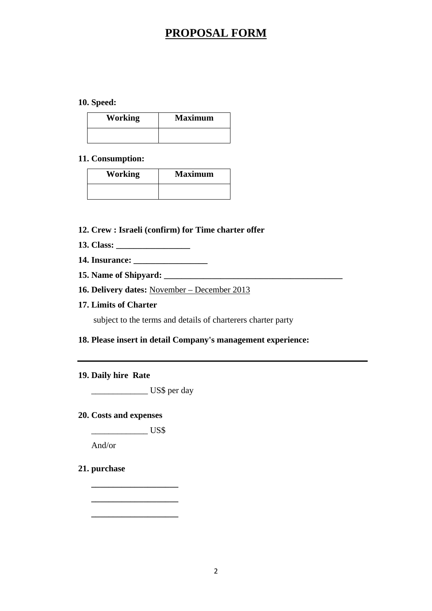## **PROPOSAL FORM**

### **10. Speed:**

| <b>Working</b> | <b>Maximum</b> |
|----------------|----------------|
|                |                |

#### **11. Consumption:**

| <b>Working</b> | <b>Maximum</b> |
|----------------|----------------|
|                |                |

### **12. Crew : Israeli (confirm) for Time charter offer**

- **13. Class: \_\_\_\_\_\_\_\_\_\_\_\_\_\_\_\_\_**
- **14. Insurance: \_\_\_\_\_\_\_\_\_\_\_\_\_\_\_\_\_**
- **15. Name of Shipyard: \_\_\_\_\_\_\_\_\_\_\_\_\_\_\_\_\_\_\_\_\_\_\_\_\_\_\_\_\_\_\_\_\_\_\_\_\_\_\_\_\_**
- **16. Delivery dates:** November December 2013
- **17. Limits of Charter**

subject to the terms and details of charterers charter party

### **18. Please insert in detail Company's management experience:**

#### **19. Daily hire Rate**

\_\_\_\_\_\_\_\_\_\_\_\_\_ US\$ per day

#### **20. Costs and expenses**

\_\_\_\_\_\_\_\_\_\_\_\_\_ US\$

**\_\_\_\_\_\_\_\_\_\_\_\_\_\_\_\_\_\_\_\_** 

**\_\_\_\_\_\_\_\_\_\_\_\_\_\_\_\_\_\_\_\_** 

**\_\_\_\_\_\_\_\_\_\_\_\_\_\_\_\_\_\_\_\_** 

And/or

### **21. purchase**